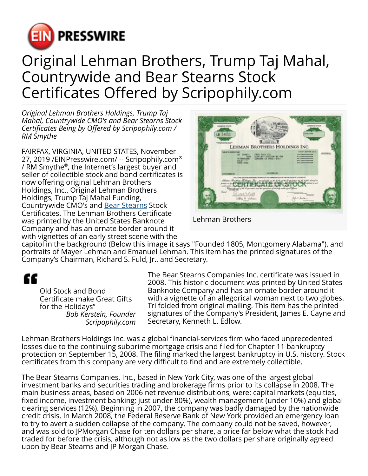

## Original Lehman Brothers, Trump Taj Mahal, Countrywide and Bear Stearns Stock Certificates Offered by Scripophily.com

*Original Lehman Brothers Holdings, Trump Taj Mahal, Countrywide CMO's and Bear Stearns Stock Certificates Being by Offered by Scripophily.com / RM Smythe*

FAIRFAX, VIRGINIA, UNITED STATES, November 27, 2019 /[EINPresswire.com/](http://www.einpresswire.com) -- Scripophily.com® / RM Smythe® , the Internet's largest buyer and seller of collectible stock and bond certificates is now offering original Lehman Brothers Holdings, Inc., Original Lehman Brothers Holdings, Trump Taj Mahal Funding, Countrywide CMO's and [Bear Stearns](https://scripophily.net/bestcoinde.html) Stock Certificates. The Lehman Brothers Certificate was printed by the United States Banknote Company and has an ornate border around it with vignettes of an early street scene with the



capitol in the background (Below this image it says "Founded 1805, Montgomery Alabama"), and portraits of Mayer Lehman and Emanuel Lehman. This item has the printed signatures of the Company's Chairman, Richard S. Fuld, Jr., and Secretary.

"

Old Stock and Bond Certificate make Great Gifts for the Holidays" *Bob Kerstein, Founder Scripophily.com*

The Bear Stearns Companies Inc. certificate was issued in 2008. This historic document was printed by United States Banknote Company and has an ornate border around it with a vignette of an allegorical woman next to two globes. Tri folded from original mailing. This item has the printed signatures of the Company's President, James E. Cayne and Secretary, Kenneth L. Edlow.

Lehman Brothers Holdings Inc. was a global financial-services firm who faced unprecedented losses due to the continuing subprime mortgage crisis and filed for Chapter 11 bankruptcy protection on September 15, 2008. The filing marked the largest bankruptcy in U.S. history. Stock certificates from this company are very difficult to find and are extremely collectible.

The Bear Stearns Companies, Inc., based in New York City, was one of the largest global investment banks and securities trading and brokerage firms prior to its collapse in 2008. The main business areas, based on 2006 net revenue distributions, were: capital markets (equities, fixed income, investment banking; just under 80%), wealth management (under 10%) and global clearing services (12%). Beginning in 2007, the company was badly damaged by the nationwide credit crisis. In March 2008, the Federal Reserve Bank of New York provided an emergency loan to try to avert a sudden collapse of the company. The company could not be saved, however, and was sold to JPMorgan Chase for ten dollars per share, a price far below what the stock had traded for before the crisis, although not as low as the two dollars per share originally agreed upon by Bear Stearns and JP Morgan Chase.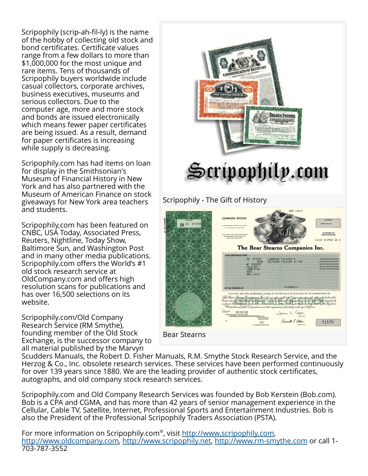Scripophily (scrip-ah-fil-ly) is the name of the hobby of collecting old stock and bond certificates. Certificate values range from a few dollars to more than \$1,000,000 for the most unique and rare items. Tens of thousands of Scripophily buyers worldwide include casual collectors, corporate archives, business executives, museums and serious collectors. Due to the computer age, more and more stock and bonds are issued electronically which means fewer paper certificates are being issued. As a result, demand for paper certificates is increasing while supply is decreasing.

Scripophily.com has had items on loan for display in the Smithsonian's Museum of Financial History in New York and has also partnered with the Museum of American Finance on stock giveaways for New York area teachers and students.

Scripophily,com has been featured on CNBC, USA Today, Associated Press, Reuters, Nightline, Today Show, Baltimore Sun, and Washington Post and in many other media publications. Scripophily.com offers the World's #1 old stock research service at OldCompany.com and offers high resolution scans for publications and has over 16,500 selections on its website.

Scripophily.com/Old Company Research Service (RM Smythe), founding member of the Old Stock Exchange, is the successor company to all material published by the Marvyn



## Scripophily - The Gift of History



Scudders Manuals, the Robert D. Fisher Manuals, R.M. Smythe Stock Research Service, and the Herzog & Co., Inc. obsolete research services. These services have been performed continuously for over 139 years since 1880. We are the leading provider of authentic stock certificates, autographs, and old company stock research services.

Scripophily.com and Old Company Research Services was founded by Bob Kerstein (Bob.com). Bob is a CPA and CGMA, and has more than 42 years of senior management experience in the Cellular, Cable TV, Satellite, Internet, Professional Sports and Entertainment Industries. Bob is also the President of the Professional Scripophily Traders Association (PSTA).

For more information on Scripophily.com®, visit <u><http://www.scripophily.com></u>, [http://www.oldcompany.com,](http://www.oldcompany.com) [http://www.scripophily.net,](http://www.scripophily.net) <http://www.rm-smythe.com>or call 1- 703-787-3552